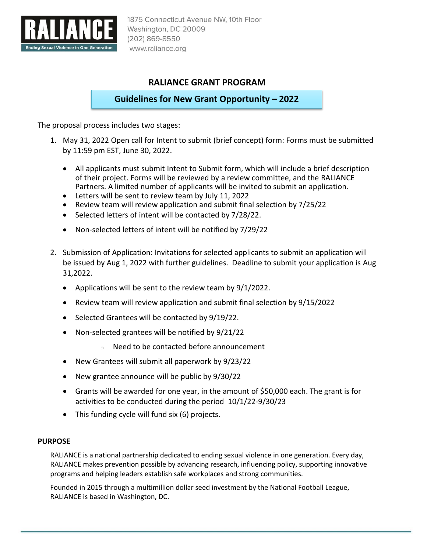

# **RALIANCE GRANT PROGRAM**

**Guidelines for New Grant Opportunity – 2022**

The proposal process includes two stages:

- 1. May 31, 2022 Open call for Intent to submit (brief concept) form: Forms must be submitted by 11:59 pm EST, June 30, 2022.
	- All applicants must submit Intent to Submit form, which will include a brief description of their project. Forms will be reviewed by a review committee, and the RALIANCE Partners. A limited number of applicants will be invited to submit an application.
	- Letters will be sent to review team by July 11, 2022
	- Review team will review application and submit final selection by 7/25/22
	- Selected letters of intent will be contacted by 7/28/22.
	- Non-selected letters of intent will be notified by 7/29/22
- 2. Submission of Application: Invitations for selected applicants to submit an application will be issued by Aug 1, 2022 with further guidelines. Deadline to submit your application is Aug 31,2022.
	- Applications will be sent to the review team by  $9/1/2022$ .
	- Review team will review application and submit final selection by 9/15/2022
	- Selected Grantees will be contacted by 9/19/22.
	- Non-selected grantees will be notified by 9/21/22
		- <sup>o</sup> Need to be contacted before announcement
	- New Grantees will submit all paperwork by 9/23/22
	- New grantee announce will be public by 9/30/22
	- Grants will be awarded for one year, in the amount of \$50,000 each. The grant is for activities to be conducted during the period 10/1/22-9/30/23
	- This funding cycle will fund six (6) projects.

# **PURPOSE**

RALIANCE is a national partnership dedicated to ending sexual violence in one generation. Every day, RALIANCE makes prevention possible by advancing research, influencing policy, supporting innovative programs and helping leaders establish safe workplaces and strong communities.

Founded in 2015 through a multimillion dollar seed investment by the National Football League, RALIANCE is based in Washington, DC.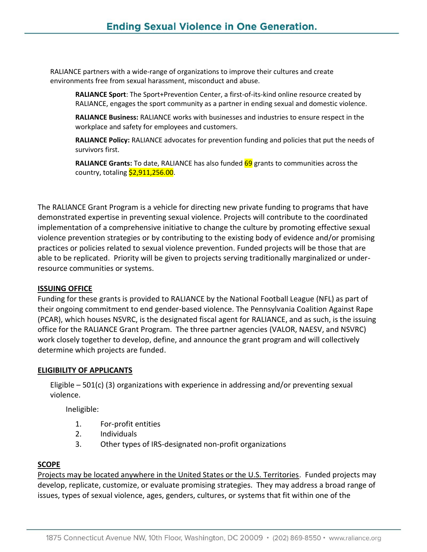RALIANCE partners with a wide-range of organizations to improve their cultures and create environments free from sexual harassment, misconduct and abuse.

**RALIANCE Sport**: The Sport+Prevention Center, a first-of-its-kind online resource created by RALIANCE, engages the sport community as a partner in ending sexual and domestic violence.

**RALIANCE Business:** RALIANCE works with businesses and industries to ensure respect in the workplace and safety for employees and customers.

**RALIANCE Policy:** RALIANCE advocates for prevention funding and policies that put the needs of survivors first.

**RALIANCE Grants:** To date, RALIANCE has also funded 69 grants to communities across the country, totaling \$2,911,256.00.

The RALIANCE Grant Program is a vehicle for directing new private funding to programs that have demonstrated expertise in preventing sexual violence. Projects will contribute to the coordinated implementation of a comprehensive initiative to change the culture by promoting effective sexual violence prevention strategies or by contributing to the existing body of evidence and/or promising practices or policies related to sexual violence prevention. Funded projects will be those that are able to be replicated. Priority will be given to projects serving traditionally marginalized or underresource communities or systems.

#### **ISSUING OFFICE**

Funding for these grants is provided to RALIANCE by the National Football League (NFL) as part of their ongoing commitment to end gender-based violence. The Pennsylvania Coalition Against Rape (PCAR), which houses NSVRC, is the designated fiscal agent for RALIANCE, and as such, is the issuing office for the RALIANCE Grant Program. The three partner agencies (VALOR, NAESV, and NSVRC) work closely together to develop, define, and announce the grant program and will collectively determine which projects are funded.

#### **ELIGIBILITY OF APPLICANTS**

Eligible – 501(c) (3) organizations with experience in addressing and/or preventing sexual violence.

Ineligible:

- 1. For-profit entities
- 2. Individuals
- 3. Other types of IRS-designated non-profit organizations

# **SCOPE**

Projects may be located anywhere in the United States or the U.S. Territories. Funded projects may develop, replicate, customize, or evaluate promising strategies. They may address a broad range of issues, types of sexual violence, ages, genders, cultures, or systems that fit within one of the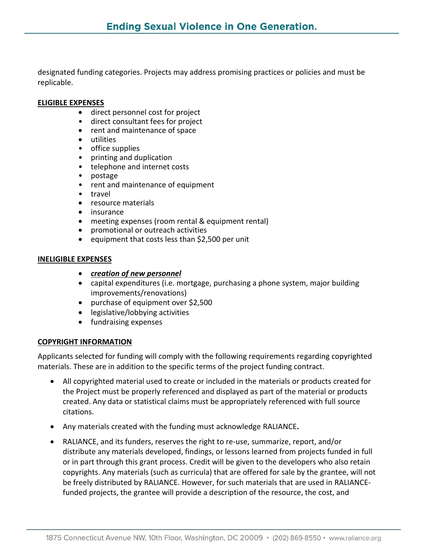designated funding categories. Projects may address promising practices or policies and must be replicable.

#### **ELIGIBLE EXPENSES**

- direct personnel cost for project
- direct consultant fees for project
- rent and maintenance of space
- utilities
- office supplies
- printing and duplication
- telephone and internet costs
- postage
- rent and maintenance of equipment
- travel
- resource materials
- insurance
- meeting expenses (room rental & equipment rental)
- promotional or outreach activities
- equipment that costs less than \$2,500 per unit

#### **INELIGIBLE EXPENSES**

- *creation of new personnel*
- capital expenditures (i.e. mortgage, purchasing a phone system, major building improvements/renovations)
- purchase of equipment over \$2,500
- legislative/lobbying activities
- fundraising expenses

#### **COPYRIGHT INFORMATION**

Applicants selected for funding will comply with the following requirements regarding copyrighted materials. These are in addition to the specific terms of the project funding contract.

- All copyrighted material used to create or included in the materials or products created for the Project must be properly referenced and displayed as part of the material or products created. Any data or statistical claims must be appropriately referenced with full source citations.
- Any materials created with the funding must acknowledge RALIANCE**.**
- RALIANCE, and its funders, reserves the right to re-use, summarize, report, and/or distribute any materials developed, findings, or lessons learned from projects funded in full or in part through this grant process. Credit will be given to the developers who also retain copyrights. Any materials (such as curricula) that are offered for sale by the grantee, will not be freely distributed by RALIANCE. However, for such materials that are used in RALIANCEfunded projects, the grantee will provide a description of the resource, the cost, and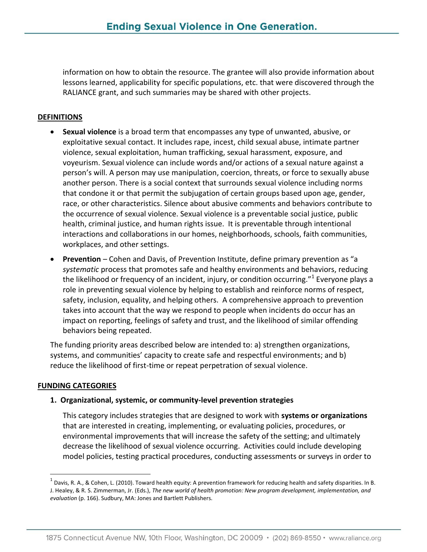information on how to obtain the resource. The grantee will also provide information about lessons learned, applicability for specific populations, etc. that were discovered through the RALIANCE grant, and such summaries may be shared with other projects.

# **DEFINITIONS**

- **Sexual violence** is a broad term that encompasses any type of unwanted, abusive, or exploitative sexual contact. It includes rape, incest, child sexual abuse, intimate partner violence, sexual exploitation, human trafficking, sexual harassment, exposure, and voyeurism. Sexual violence can include words and/or actions of a sexual nature against a person's will. A person may use manipulation, coercion, threats, or force to sexually abuse another person. There is a social context that surrounds sexual violence including norms that condone it or that permit the subjugation of certain groups based upon age, gender, race, or other characteristics. Silence about abusive comments and behaviors contribute to the occurrence of sexual violence. Sexual violence is a preventable social justice, public health, criminal justice, and human rights issue. It is preventable through intentional interactions and collaborations in our homes, neighborhoods, schools, faith communities, workplaces, and other settings.
- **Prevention** Cohen and Davis, of Prevention Institute, define primary prevention as "a *systematic* process that promotes safe and healthy environments and behaviors, reducing the likelihood or frequency of an incident, injury, or condition occurring."<sup>1</sup> Everyone plays a role in preventing sexual violence by helping to establish and reinforce norms of respect, safety, inclusion, equality, and helping others. A comprehensive approach to prevention takes into account that the way we respond to people when incidents do occur has an impact on reporting, feelings of safety and trust, and the likelihood of similar offending behaviors being repeated.

The funding priority areas described below are intended to: a) strengthen organizations, systems, and communities' capacity to create safe and respectful environments; and b) reduce the likelihood of first-time or repeat perpetration of sexual violence.

#### **FUNDING CATEGORIES**

 $\overline{a}$ 

#### **1. Organizational, systemic, or community-level prevention strategies**

This category includes strategies that are designed to work with **systems or organizations** that are interested in creating, implementing, or evaluating policies, procedures, or environmental improvements that will increase the safety of the setting; and ultimately decrease the likelihood of sexual violence occurring. Activities could include developing model policies, testing practical procedures, conducting assessments or surveys in order to

 $^1$  Davis, R. A., & Cohen, L. (2010). Toward health equity: A prevention framework for reducing health and safety disparities. In B. J. Healey, & R. S. Zimmerman, Jr. (Eds.), *The new world of health promotion: New program development, implementation, and evaluation* (p. 166). Sudbury, MA: Jones and Bartlett Publishers.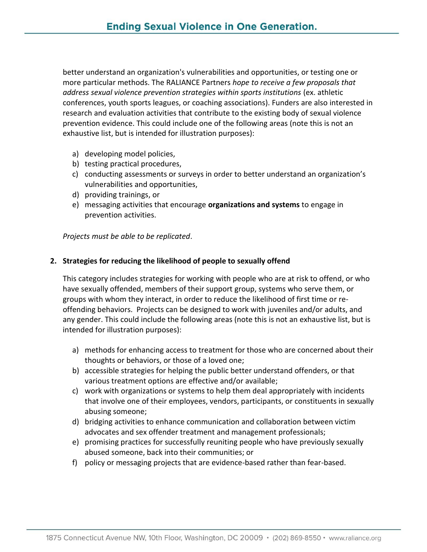better understand an organization's vulnerabilities and opportunities, or testing one or more particular methods. The RALIANCE Partners *hope to receive a few proposals that address sexual violence prevention strategies within sports institutions* (ex. athletic conferences, youth sports leagues, or coaching associations). Funders are also interested in research and evaluation activities that contribute to the existing body of sexual violence prevention evidence. This could include one of the following areas (note this is not an exhaustive list, but is intended for illustration purposes):

- a) developing model policies,
- b) testing practical procedures,
- c) conducting assessments or surveys in order to better understand an organization's vulnerabilities and opportunities,
- d) providing trainings, or
- e) messaging activities that encourage **organizations and systems** to engage in prevention activities.

*Projects must be able to be replicated*.

### **2. Strategies for reducing the likelihood of people to sexually offend**

This category includes strategies for working with people who are at risk to offend, or who have sexually offended, members of their support group, systems who serve them, or groups with whom they interact, in order to reduce the likelihood of first time or reoffending behaviors. Projects can be designed to work with juveniles and/or adults, and any gender. This could include the following areas (note this is not an exhaustive list, but is intended for illustration purposes):

- a) methods for enhancing access to treatment for those who are concerned about their thoughts or behaviors, or those of a loved one;
- b) accessible strategies for helping the public better understand offenders, or that various treatment options are effective and/or available;
- c) work with organizations or systems to help them deal appropriately with incidents that involve one of their employees, vendors, participants, or constituents in sexually abusing someone;
- d) bridging activities to enhance communication and collaboration between victim advocates and sex offender treatment and management professionals;
- e) promising practices for successfully reuniting people who have previously sexually abused someone, back into their communities; or
- f) policy or messaging projects that are evidence-based rather than fear-based.